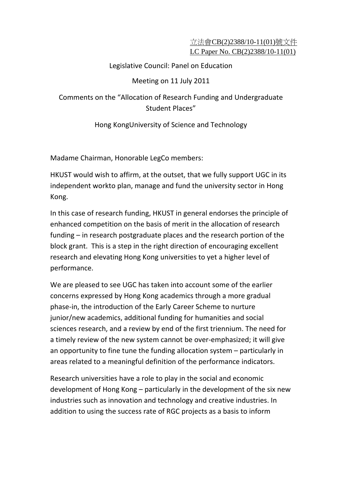## 立法會CB(2)2388/10-11(01)號文件 LC Paper No. CB(2)2388/10-11(01)

## Legislative Council: Panel on Education

## Meeting on 11 July 2011

Comments on the "Allocation of Research Funding and Undergraduate Student Places"

Hong KongUniversity of Science and Technology

Madame Chairman, Honorable LegCo members:

HKUST would wish to affirm, at the outset, that we fully support UGC in its independent workto plan, manage and fund the university sector in Hong Kong.

In this case of research funding, HKUST in general endorses the principle of enhanced competition on the basis of merit in the allocation of research funding – in research postgraduate places and the research portion of the block grant. This is a step in the right direction of encouraging excellent research and elevating Hong Kong universities to yet a higher level of performance.

We are pleased to see UGC has taken into account some of the earlier concerns expressed by Hong Kong academics through a more gradual phase‐in, the introduction of the Early Career Scheme to nurture junior/new academics, additional funding for humanities and social sciences research, and a review by end of the first triennium. The need for a timely review of the new system cannot be over-emphasized; it will give an opportunity to fine tune the funding allocation system – particularly in areas related to a meaningful definition of the performance indicators.

Research universities have a role to play in the social and economic development of Hong Kong – particularly in the development of the six new industries such as innovation and technology and creative industries. In addition to using the success rate of RGC projects as a basis to inform